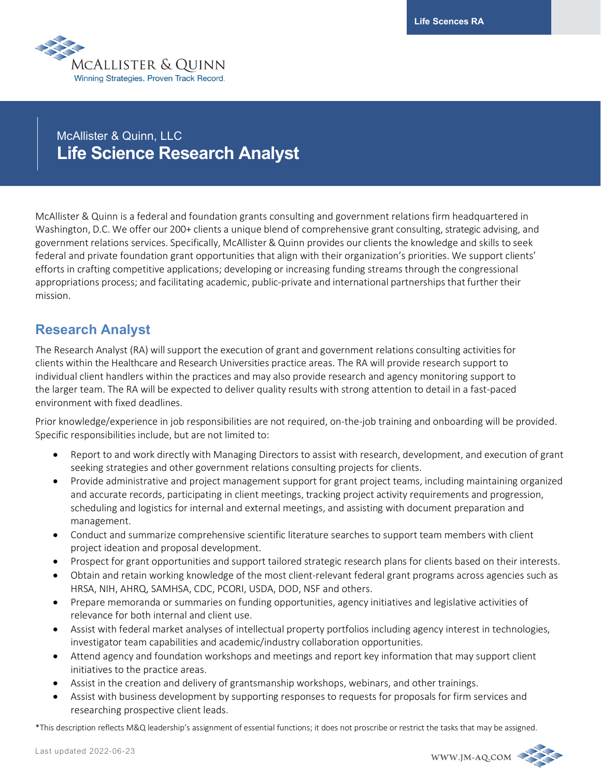

# McAllister & Quinn, LLC **Life Science Research Analyst**

McAllister & Quinn is a federal and foundation grants consulting and government relations firm headquartered in Washington, D.C. We offer our 200+ clients a unique blend of comprehensive grant consulting, strategic advising, and government relations services. Specifically, McAllister & Quinn provides our clients the knowledge and skills to seek federal and private foundation grant opportunities that align with their organization's priorities. We support clients' efforts in crafting competitive applications; developing or increasing funding streams through the congressional appropriations process; and facilitating academic, public-private and international partnerships that further their mission.

# **Research Analyst**

The Research Analyst (RA) will support the execution of grant and government relations consulting activities for clients within the Healthcare and Research Universities practice areas. The RA will provide research support to individual client handlers within the practices and may also provide research and agency monitoring support to the larger team. The RA will be expected to deliver quality results with strong attention to detail in a fast-paced environment with fixed deadlines.

Prior knowledge/experience in job responsibilities are not required, on-the-job training and onboarding will be provided. Specific responsibilities include, but are not limited to:

- Report to and work directly with Managing Directors to assist with research, development, and execution of grant seeking strategies and other government relations consulting projects for clients.
- Provide administrative and project management support for grant project teams, including maintaining organized and accurate records, participating in client meetings, tracking project activity requirements and progression, scheduling and logistics for internal and external meetings, and assisting with document preparation and management.
- Conduct and summarize comprehensive scientific literature searches to support team members with client project ideation and proposal development.
- Prospect for grant opportunities and support tailored strategic research plans for clients based on their interests.
- Obtain and retain working knowledge of the most client-relevant federal grant programs across agencies such as HRSA, NIH, AHRQ, SAMHSA, CDC, PCORI, USDA, DOD, NSF and others.
- Prepare memoranda or summaries on funding opportunities, agency initiatives and legislative activities of relevance for both internal and client use.
- Assist with federal market analyses of intellectual property portfolios including agency interest in technologies, investigator team capabilities and academic/industry collaboration opportunities.
- Attend agency and foundation workshops and meetings and report key information that may support client initiatives to the practice areas.
- Assist in the creation and delivery of grantsmanship workshops, webinars, and other trainings.
- Assist with business development by supporting responses to requests for proposals for firm services and researching prospective client leads.

\*This description reflects M&Q leadership's assignment of essential functions; it does not proscribe or restrict the tasks that may be assigned.